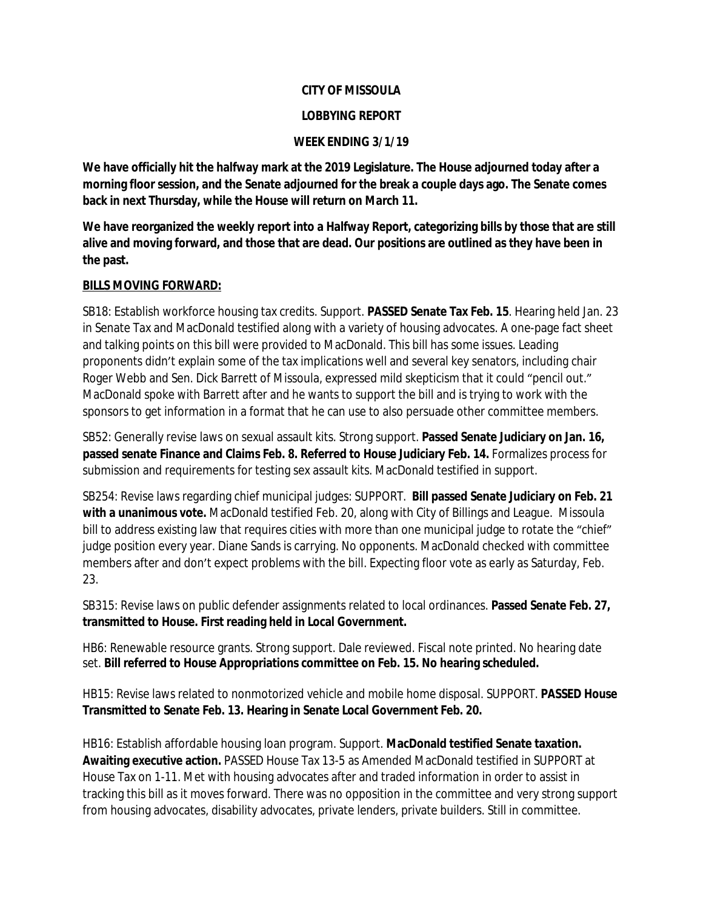#### **CITY OF MISSOULA**

## **LOBBYING REPORT**

## **WEEK ENDING 3/1/19**

**We have officially hit the halfway mark at the 2019 Legislature. The House adjourned today after a morning floor session, and the Senate adjourned for the break a couple days ago. The Senate comes back in next Thursday, while the House will return on March 11.** 

**We have reorganized the weekly report into a Halfway Report, categorizing bills by those that are still alive and moving forward, and those that are dead. Our positions are outlined as they have been in the past.** 

## **BILLS MOVING FORWARD:**

SB18: Establish workforce housing tax credits. Support. **PASSED Senate Tax Feb. 15**. Hearing held Jan. 23 in Senate Tax and MacDonald testified along with a variety of housing advocates. A one-page fact sheet and talking points on this bill were provided to MacDonald. This bill has some issues. Leading proponents didn't explain some of the tax implications well and several key senators, including chair Roger Webb and Sen. Dick Barrett of Missoula, expressed mild skepticism that it could "pencil out." MacDonald spoke with Barrett after and he wants to support the bill and is trying to work with the sponsors to get information in a format that he can use to also persuade other committee members.

SB52: Generally revise laws on sexual assault kits. Strong support. **Passed Senate Judiciary on Jan. 16, passed senate Finance and Claims Feb. 8. Referred to House Judiciary Feb. 14.** Formalizes process for submission and requirements for testing sex assault kits. MacDonald testified in support.

SB254: Revise laws regarding chief municipal judges: SUPPORT. **Bill passed Senate Judiciary on Feb. 21 with a unanimous vote.** MacDonald testified Feb. 20, along with City of Billings and League. Missoula bill to address existing law that requires cities with more than one municipal judge to rotate the "chief" judge position every year. Diane Sands is carrying. No opponents. MacDonald checked with committee members after and don't expect problems with the bill. Expecting floor vote as early as Saturday, Feb. 23.

SB315: Revise laws on public defender assignments related to local ordinances. **Passed Senate Feb. 27, transmitted to House. First reading held in Local Government.**

HB6: Renewable resource grants. Strong support. Dale reviewed. Fiscal note printed. No hearing date set. **Bill referred to House Appropriations committee on Feb. 15. No hearing scheduled.**

HB15: Revise laws related to nonmotorized vehicle and mobile home disposal. SUPPORT. **PASSED House Transmitted to Senate Feb. 13. Hearing in Senate Local Government Feb. 20.**

HB16: Establish affordable housing loan program. Support. **MacDonald testified Senate taxation. Awaiting executive action.** PASSED House Tax 13-5 as Amended MacDonald testified in SUPPORT at House Tax on 1-11. Met with housing advocates after and traded information in order to assist in tracking this bill as it moves forward. There was no opposition in the committee and very strong support from housing advocates, disability advocates, private lenders, private builders. Still in committee.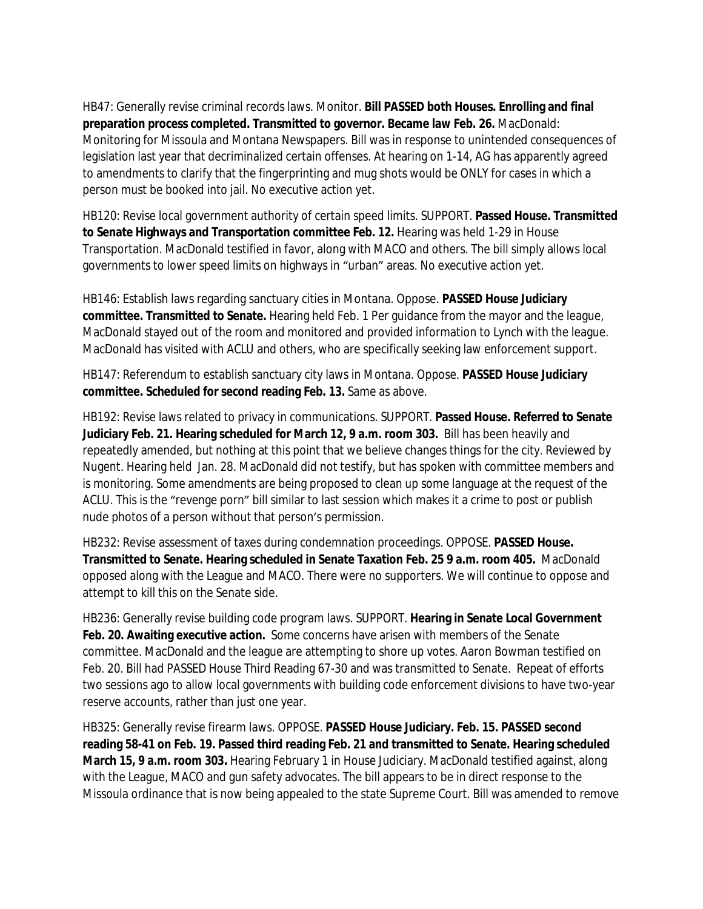HB47: Generally revise criminal records laws. Monitor. **Bill PASSED both Houses. Enrolling and final preparation process completed. Transmitted to governor. Became law Feb. 26.** MacDonald: Monitoring for Missoula and Montana Newspapers. Bill was in response to unintended consequences of legislation last year that decriminalized certain offenses. At hearing on 1-14, AG has apparently agreed to amendments to clarify that the fingerprinting and mug shots would be ONLY for cases in which a person must be booked into jail. No executive action yet.

HB120: Revise local government authority of certain speed limits. SUPPORT. **Passed House. Transmitted to Senate Highways and Transportation committee Feb. 12.** Hearing was held 1-29 in House Transportation. MacDonald testified in favor, along with MACO and others. The bill simply allows local governments to lower speed limits on highways in "urban" areas. No executive action yet.

HB146: Establish laws regarding sanctuary cities in Montana. Oppose. **PASSED House Judiciary committee. Transmitted to Senate.** Hearing held Feb. 1 Per guidance from the mayor and the league, MacDonald stayed out of the room and monitored and provided information to Lynch with the league. MacDonald has visited with ACLU and others, who are specifically seeking law enforcement support.

HB147: Referendum to establish sanctuary city laws in Montana. Oppose. **PASSED House Judiciary committee. Scheduled for second reading Feb. 13.** Same as above.

HB192: Revise laws related to privacy in communications. SUPPORT. **Passed House. Referred to Senate Judiciary Feb. 21. Hearing scheduled for March 12, 9 a.m. room 303.** Bill has been heavily and repeatedly amended, but nothing at this point that we believe changes things for the city. Reviewed by Nugent. Hearing held Jan. 28. MacDonald did not testify, but has spoken with committee members and is monitoring. Some amendments are being proposed to clean up some language at the request of the ACLU. This is the "revenge porn" bill similar to last session which makes it a crime to post or publish nude photos of a person without that person's permission.

HB232: Revise assessment of taxes during condemnation proceedings. OPPOSE. **PASSED House. Transmitted to Senate. Hearing scheduled in Senate Taxation Feb. 25 9 a.m. room 405.** MacDonald opposed along with the League and MACO. There were no supporters. We will continue to oppose and attempt to kill this on the Senate side.

HB236: Generally revise building code program laws. SUPPORT. **Hearing in Senate Local Government Feb. 20. Awaiting executive action.** Some concerns have arisen with members of the Senate committee. MacDonald and the league are attempting to shore up votes. Aaron Bowman testified on Feb. 20. Bill had PASSED House Third Reading 67-30 and was transmitted to Senate. Repeat of efforts two sessions ago to allow local governments with building code enforcement divisions to have two-year reserve accounts, rather than just one year.

HB325: Generally revise firearm laws. OPPOSE. **PASSED House Judiciary. Feb. 15. PASSED second reading 58-41 on Feb. 19. Passed third reading Feb. 21 and transmitted to Senate. Hearing scheduled March 15, 9 a.m. room 303.** Hearing February 1 in House Judiciary. MacDonald testified against, along with the League, MACO and gun safety advocates. The bill appears to be in direct response to the Missoula ordinance that is now being appealed to the state Supreme Court. Bill was amended to remove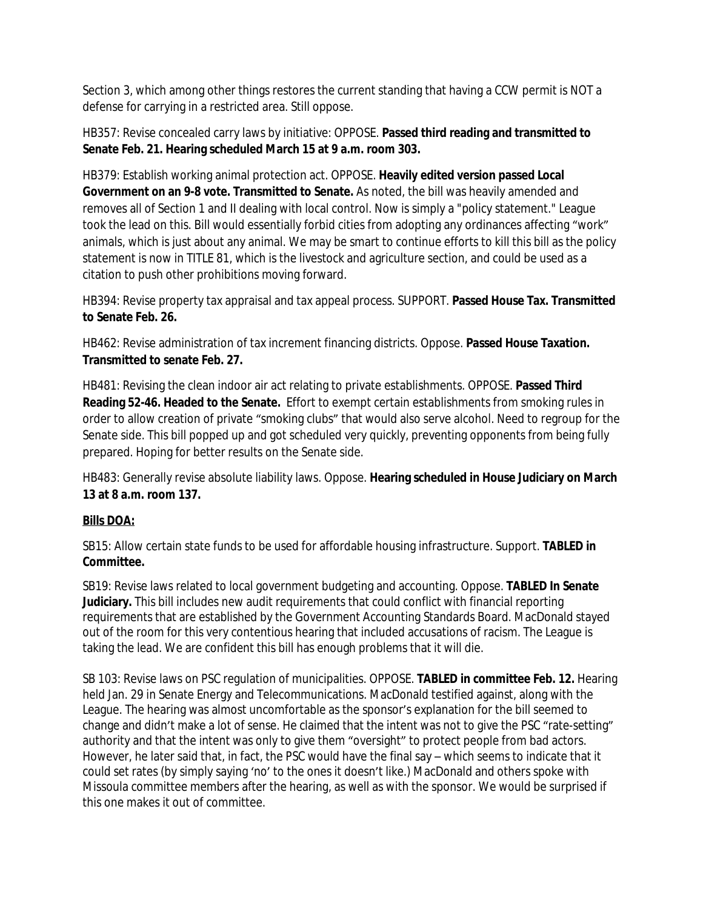Section 3, which among other things restores the current standing that having a CCW permit is NOT a defense for carrying in a restricted area. Still oppose.

HB357: Revise concealed carry laws by initiative: OPPOSE. **Passed third reading and transmitted to Senate Feb. 21. Hearing scheduled March 15 at 9 a.m. room 303.**

HB379: Establish working animal protection act. OPPOSE. **Heavily edited version passed Local Government on an 9-8 vote. Transmitted to Senate.** As noted, the bill was heavily amended and removes all of Section 1 and II dealing with local control. Now is simply a "policy statement." League took the lead on this. Bill would essentially forbid cities from adopting any ordinances affecting "work" animals, which is just about any animal. We may be smart to continue efforts to kill this bill as the policy statement is now in TITLE 81, which is the livestock and agriculture section, and could be used as a citation to push other prohibitions moving forward.

HB394: Revise property tax appraisal and tax appeal process. SUPPORT. **Passed House Tax. Transmitted to Senate Feb. 26.**

HB462: Revise administration of tax increment financing districts. Oppose. **Passed House Taxation. Transmitted to senate Feb. 27.**

HB481: Revising the clean indoor air act relating to private establishments. OPPOSE. **Passed Third Reading 52-46. Headed to the Senate.** Effort to exempt certain establishments from smoking rules in order to allow creation of private "smoking clubs" that would also serve alcohol. Need to regroup for the Senate side. This bill popped up and got scheduled very quickly, preventing opponents from being fully prepared. Hoping for better results on the Senate side.

HB483: Generally revise absolute liability laws. Oppose. **Hearing scheduled in House Judiciary on March 13 at 8 a.m. room 137.**

# **Bills DOA:**

SB15: Allow certain state funds to be used for affordable housing infrastructure. Support. **TABLED in Committee.**

SB19: Revise laws related to local government budgeting and accounting. Oppose. **TABLED In Senate Judiciary.** This bill includes new audit requirements that could conflict with financial reporting requirements that are established by the Government Accounting Standards Board. MacDonald stayed out of the room for this very contentious hearing that included accusations of racism. The League is taking the lead. We are confident this bill has enough problems that it will die.

SB 103: Revise laws on PSC regulation of municipalities. OPPOSE. **TABLED in committee Feb. 12.** Hearing held Jan. 29 in Senate Energy and Telecommunications. MacDonald testified against, along with the League. The hearing was almost uncomfortable as the sponsor's explanation for the bill seemed to change and didn't make a lot of sense. He claimed that the intent was not to give the PSC "rate-setting" authority and that the intent was only to give them "oversight" to protect people from bad actors. However, he later said that, in fact, the PSC would have the final say – which seems to indicate that it could set rates (by simply saying 'no' to the ones it doesn't like.) MacDonald and others spoke with Missoula committee members after the hearing, as well as with the sponsor. We would be surprised if this one makes it out of committee.